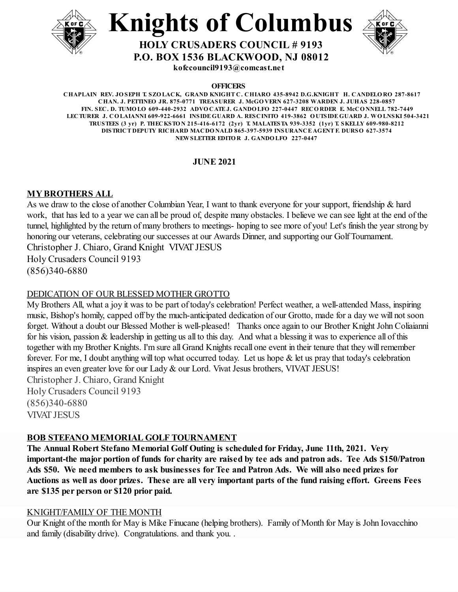



**P.O. BOX 1536 BLACKWOOD, NJ 08012**

**kofccouncil9193@comcast.net**

**OFFICERS**

**CHAPLAIN REV. JO SEPH T. SZO LACK, GRAND KNIGHT C. CHIARO 435-8942 D.G.KNIGHT H. CANDELO RO 287-8617 CHAN. J. PETTINEO JR. 875-0771 TREASURER J. McGO VERN 627-3208 WARDEN J. JUHAS 228-0857 FIN. SEC. D. TUMO LO 609-440-2932 ADVO CATE J. GANDO LFO 227-0447 RECO RDER E. McCO NNELL 782-7449** LECTURER J. COLAIANNI 609-922-6661 INSIDE GUARD A. RESCINITO 419-3862 OUTSIDE GUARD J. WOLNSKI 504-3421 **TRUSTEES (3 yr) P. THECKSTO N 215-416-6172 (2yr) T. MALATESTA 939-3352 (1yr) T. SKELLY 609-980-8212 DISTRICT DEPUTY RICHARD MACDO NALD 865-397-5939 INSURANCE AGENT F. DURSO 627-3574 NEWSLETTER EDITO R J. GANDO LFO 227-0447**

# **JUNE 2021**

# **MY BROTHERS ALL**

As we draw to the close of another Columbian Year, I want to thank everyone for your support, friendship & hard work, that has led to a year we can all be proud of, despite many obstacles. I believe we can see light at the end of the tunnel, highlighted by the return of many brothers to meetings- hoping to see more of you! Let's finish the year strong by honoring our veterans, celebrating our successes at our Awards Dinner, and supporting our Golf Tournament. Christopher J. Chiaro, Grand Knight VIVAT JESUS Holy Crusaders Council 9193 (856)340-6880

# DEDICATION OF OUR BLESSED MOTHER GROTTO

My Brothers All, what a joy it was to be part of today's celebration! Perfect weather, a well-attended Mass, inspiring music, Bishop's homily, capped off by the much-anticipated dedication of our Grotto, made for a day we will not soon forget. Without a doubt our Blessed Mother is well-pleased! Thanks once again to our Brother Knight John Coliaianni for his vision, passion & leadership in getting us all to this day. And what a blessing it was to experience all of this together with my Brother Knights. I'm sure all Grand Knights recall one event in their tenure that they willremember forever. For me, I doubt anything will top what occurred today. Let us hope & let us pray that today's celebration inspires an even greater love for our Lady & our Lord. Vivat Jesus brothers, VIVAT JESUS! Christopher J. Chiaro, Grand Knight Holy Crusaders Council 9193 (856)340-6880 VIVAT JESUS

## **BOB STEFANO MEMORIAL GOLF TOURNAMENT**

**The Annual Robert Stefano Memorial Golf Outing is scheduled for Friday, June 11th, 2021. Very** important-the major portion of funds for charity are raised by tee ads and patron ads. Tee Ads \$150/Patron **Ads \$50. We need members to ask businesses for Tee and Patron Ads. We will also need prizes for** Auctions as well as door prizes. These are all very important parts of the fund raising effort. Greens Fees **are \$135 per person or \$120 prior paid.**

## KNIGHT/FAMILY OF THE MONTH

Our Knight of the month for May is Mike Finucane (helping brothers). Family of Month for May is John Iovacchino and family (disability drive). Congratulations. and thank you. .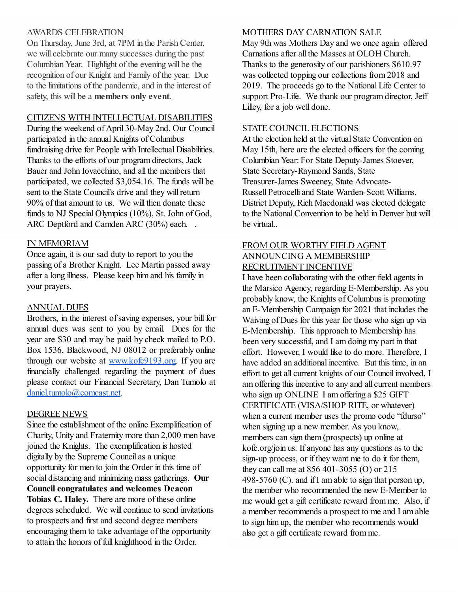## AWARDS CELEBRATION

On Thursday, June 3rd, at 7PM in the Parish Center, we will celebrate our many successes during the past Columbian Year. Highlight of the evening will be the recognition of our Knight and Family of the year. Due to the limitations of the pandemic, and in the interest of safety, this will be a **members only event**.

## CITIZENS WITH INTELLECTUAL DISABILITIES

During the weekend of April 30-May 2nd. Our Council participated in the annual Knights of Columbus fundraising drive for People with Intellectual Disabilities. Thanks to the efforts of our program directors, Jack Bauer and John Iovacchino, and all the members that participated, we collected \$3,054.16. The funds will be sent to the State Council's drive and they will return 90% of that amount to us. We will then donate these funds to NJ Special Olympics (10%), St. John of God, ARC Deptford and Camden ARC (30%) each. .

## IN MEMORIAM

Once again, it is our sad duty to report to you the passing of a Brother Knight. Lee Martin passed away after a long illness. Please keep him and his family in your prayers.

## ANNUAL DUES

Brothers, in the interest of saving expenses, your bill for annual dues was sent to you by email. Dues for the year are \$30 and may be paid by check mailed to P.O. Box 1536, Blackwood, NJ 08012 or preferably online through our website at [www.kofc9193.org.](http://www.kofc9193.org/) If you are financially challenged regarding the payment of dues please contact our Financial Secretary, Dan Tumolo at [daniel.tumolo@comcast.net](mailto:daniel.tumolo@comcast.net).

#### DEGREE NEWS

Since the establishment of the online Exemplification of Charity, Unity and Fraternity more than 2,000 men have joined the Knights. The exemplification is hosted digitally by the Supreme Council as a unique opportunity for men to join the Order in this time of social distancing and minimizing mass gatherings. **Our Council congratulates and welcomes Deacon Tobias C. Haley.** There are more of these online degrees scheduled. We will continue to send invitations to prospects and first and second degree members encouraging them to take advantage of the opportunity to attain the honors of full knighthood in the Order.

### MOTHERS DAY CARNATION SALE

May 9th was Mothers Day and we once again offered Carnations after all the Masses at OLOH Church. Thanks to the generosity of our parishioners \$610.97 was collected topping our collections from 2018 and 2019. The proceeds go to the National Life Center to support Pro-Life. We thank our program director, Jeff Lilley, for a job well done.

## STATE COUNCIL ELECTIONS

At the election held at the virtual State Convention on May 15th, here are the elected officers for the coming Columbian Year: For State Deputy-James Stoever, State Secretary-Raymond Sands, State Treasurer-James Sweeney, State Advocate-Russell Petrocelli and State Warden-Scott Williams. District Deputy, Rich Macdonald was elected delegate to the National Convention to be held in Denver but will be virtual..

## FROM OUR WORTHY FIELD AGENT ANNOUNCING A MEMBERSHIP RECRUITMENT INCENTIVE

I have been collaborating with the other field agents in the Marsico Agency, regarding E-Membership. As you probably know, the Knights of Columbus is promoting an E-Membership Campaign for 2021 that includes the Waiving of Dues for this year for those who sign up via E-Membership. This approach to Membership has been very successful, and I am doing my part in that effort. However, I would like to do more. Therefore, I have added an additional incentive. But this time, in an effort to get all current knights of our Council involved, I am offering this incentive to any and all current members who sign up ONLINE I am offering a \$25 GIFT CERTIFICATE (VISA/SHOP RITE, or whatever) when a current member uses the promo code "fdurso" when signing up a new member. As you know, members can sign them (prospects) up online at kofc.org/join us. If anyone has any questions as to the sign-up process, or if they want me to do it for them, they can call me at 856 401-3055 (O) or 215 498-5760 (C). and if I am able to sign that person up, the member who recommended the new E-Member to me would get a gift certificate reward from me. Also, if a member recommends a prospect to me and I am able to sign him up, the member who recommends would also get a gift certificate reward from me.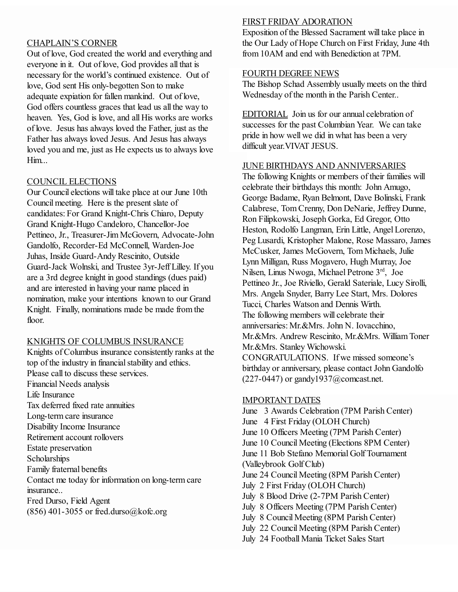## CHAPLAIN'S CORNER

Out of love, God created the world and everything and everyone in it. Out of love, God provides all that is necessary for the world's continued existence. Out of love, God sent His only-begotten Son to make adequate expiation for fallen mankind. Out of love, God offers countless graces that lead us all the way to heaven. Yes, God is love, and all His works are works of love. Jesus has always loved the Father, just as the Father has always loved Jesus. And Jesus has always loved you and me, just as He expects us to always love Him...

## COUNCIL ELECTIONS

Our Council elections will take place at our June 10th Council meeting. Here is the present slate of candidates: For Grand Knight-Chris Chiaro, Deputy Grand Knight-Hugo Candeloro, Chancellor-Joe Pettineo, Jr., Treasurer-Jim McGovern, Advocate-John Gandolfo, Recorder-Ed McConnell, Warden-Joe Juhas, Inside Guard-Andy Rescinito, Outside Guard-Jack Wolnski, and Trustee 3yr-Jeff Lilley. If you are a 3rd degree knight in good standings (dues paid) and are interested in having your name placed in nomination, make your intentions known to our Grand Knight. Finally, nominations made be made from the floor.

#### KNIGHTS OF COLUMBUS INSURANCE

Knights of Columbus insurance consistently ranks at the top of the industry in financial stability and ethics. Please call to discuss these services. Financial Needs analysis Life Insurance Tax deferred fixed rate annuities Long-term care insurance Disability Income Insurance Retirement account rollovers Estate preservation Scholarships Family fraternal benefits Contact me today for information on long-term care insurance.. Fred Durso, Field Agent  $(856)$  401-3055 or fred.durso@kofc.org

## FIRST FRIDAY ADORATION

Exposition of the Blessed Sacrament will take place in the Our Lady of Hope Church on First Friday, June 4th from 10AM and end with Benediction at 7PM.

#### FOURTH DEGREE NEWS

The Bishop Schad Assembly usually meets on the third Wednesday of the month in the Parish Center..

EDITORIAL Join us for our annual celebration of successes for the past Columbian Year. We can take pride in how well we did in what has been a very difficult year.VIVAT JESUS.

## JUNE BIRTHDAYS AND ANNIVERSARIES

The following Knights or members of their families will celebrate their birthdays this month: John Amugo, George Badame, Ryan Belmont, Dave Bolinski, Frank Calabrese, Tom Crenny, Don DeNarie, Jeffrey Dunne, Ron Filipkowski, Joseph Gorka, Ed Gregor, Otto Heston, Rodolfo Langman, Erin Little, Angel Lorenzo, Peg Lusardi, Kristopher Malone, Rose Massaro, James McCusker, James McGovern, Tom Michaels, Julie Lynn Milligan, Russ Mogavero, Hugh Murray, Joe Nilsen, Linus Nwoga, Michael Petrone 3 rd , Joe Pettineo Jr., Joe Riviello, Gerald Sateriale, Lucy Sirolli, Mrs. Angela Snyder, Barry Lee Start, Mrs. Dolores Tucci, Charles Watson and Dennis Wirth. The following members will celebrate their anniversaries: Mr.&Mrs. John N. Iovacchino, Mr.&Mrs. Andrew Rescinito, Mr.&Mrs. William Toner Mr.&Mrs. Stanley Wichowski. CONGRATULATIONS. If we missed someone's birthday or anniversary, please contact John Gandolfo  $(227-0447)$  or gandy $1937@$ comcast.net.

#### IMPORTANT DATES

June 3 Awards Celebration (7PM Parish Center) June 4 First Friday (OLOH Church) June 10 Officers Meeting (7PM Parish Center) June 10 Council Meeting (Elections 8PM Center) June 11 Bob Stefano Memorial Golf Tournament (Valleybrook Golf Club) June 24 Council Meeting (8PM Parish Center) July 2 First Friday (OLOH Church) July 8 Blood Drive (2-7PM Parish Center) July 8 Officers Meeting (7PM Parish Center) July 8 Council Meeting (8PM Parish Center) July 22 Council Meeting (8PM Parish Center) July 24 Football Mania Ticket Sales Start